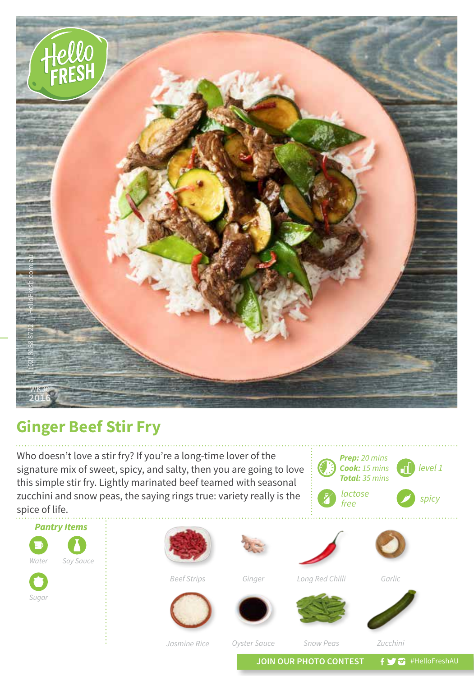

## **Ginger Beef Stir Fry**

Who doesn't love a stir fry? If you're a long-time lover of the signature mix of sweet, spicy, and salty, then you are going to love this simple stir fry. Lightly marinated beef teamed with seasonal zucchini and snow peas, the saying rings true: variety really is the spice of life.





*Jasmine Rice*

*Oyster Sauce Snow Peas Zucchini*

JOIN OUR PHOTO CONTEST **f y** a #HelloFreshAU